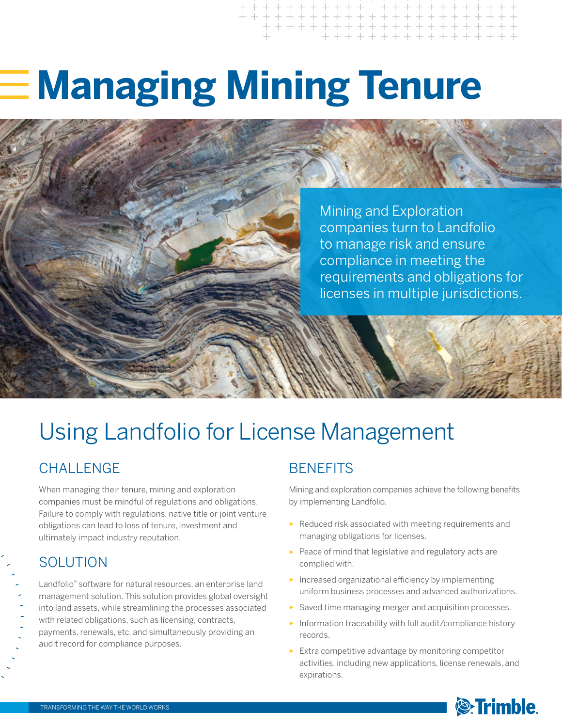# **Managing Mining Tenure**

Mining and Exploration companies turn to Landfolio to manage risk and ensure compliance in meeting the requirements and obligations for licenses in multiple jurisdictions.

# Using Landfolio for License Management

## CHALL FNGF

When managing their tenure, mining and exploration companies must be mindful of regulations and obligations. Failure to comply with regulations, native title or joint venture obligations can lead to loss of tenure, investment and ultimately impact industry reputation.

### SOLUTION

Landfolio® software for natural resources, an enterprise land management solution. This solution provides global oversight into land assets, while streamlining the processes associated with related obligations, such as licensing, contracts, payments, renewals, etc. and simultaneously providing an audit record for compliance purposes.

## **BENEFITS**

Mining and exploration companies achieve the following benefits by implementing Landfolio.

- ► Reduced risk associated with meeting requirements and managing obligations for licenses.
- ► Peace of mind that legislative and regulatory acts are complied with.
- ► Increased organizational efficiency by implementing uniform business processes and advanced authorizations.
- ► Saved time managing merger and acquisition processes.
- ► Information traceability with full audit/compliance history records.
- ► Extra competitive advantage by monitoring competitor activities, including new applications, license renewals, and expirations.